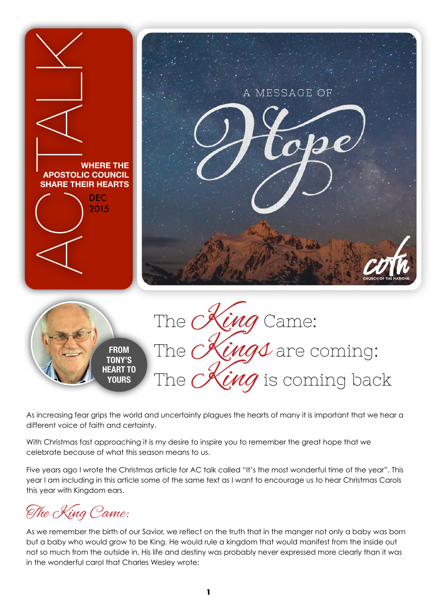

As increasing fear grips the world and uncertainty plagues the hearts of many it is important that we hear a different voice of faith and certainty.

With Christmas fast approaching it is my desire to inspire you to remember the great hope that we celebrate because of what this season means to us.

Five years ago I wrote the Christmas article for AC talk called "It's the most wonderful time of the year". This year I am including in this article some of the same text as I want to encourage us to hear Christmas Carols this year with Kingdom ears.

The King Came:

As we remember the birth of our Savior, we reflect on the truth that in the manger not only a baby was born but a baby who would grow to be King. He would rule a kingdom that would manifest from the inside out not so much from the outside in. His life and destiny was probably never expressed more clearly than it was in the wonderful carol that Charles Wesley wrote: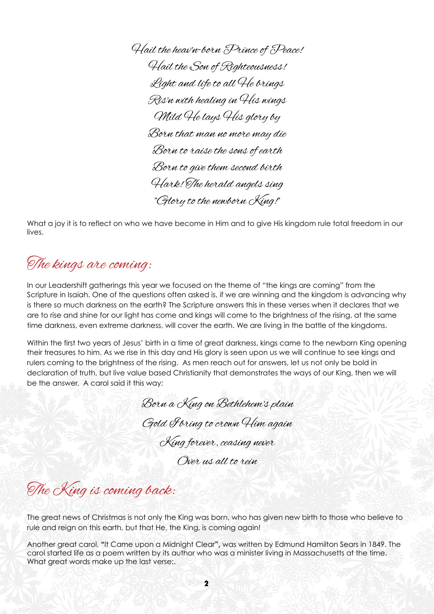Hail the heav'n-born Prince of Peace! Hail the Son of Righteousness! Light and life to all He brings Ris'n with healing in His wings Mild He lays His glory by Born that man no more may die Born to raise the sons of earth Born to give them second birth Hark! The herald angels sing "Glory to the newborn King!"

What a joy it is to reflect on who we have become in Him and to give His kingdom rule total freedom in our lives.

## The kings are coming:

In our Leadershift gatherings this year we focused on the theme of "the kings are coming" from the Scripture in Isaiah. One of the questions often asked is, if we are winning and the kingdom is advancing why is there so much darkness on the earth? The Scripture answers this in these verses when it declares that we are to rise and shine for our light has come and kings will come to the brightness of the rising, at the same time darkness, even extreme darkness, will cover the earth. We are living in the battle of the kingdoms.

Within the first two years of Jesus' birth in a time of great darkness, kings came to the newborn King opening their treasures to him. As we rise in this day and His glory is seen upon us we will continue to see kings and rulers coming to the brightness of the rising. As men reach out for answers, let us not only be bold in declaration of truth, but live value based Christianity that demonstrates the ways of our King, then we will be the answer. A carol said it this way:

Born a King on Bethlehem's plain Gold Foring to crown Him again

King forever, ceasing never

Over us all to rein

The King is coming back:

The great news of Christmas is not only the King was born, who has given new birth to those who believe to rule and reign on this earth, but that He, the King, is coming again!

Another great carol, **"**It Came upon a Midnight Clear**",** was written by Edmund Hamilton Sears in 1849. The carol started life as a poem written by its author who was a minister living in Massachusetts at the time. What great words make up the last verse:.